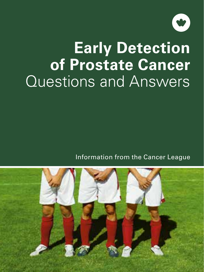

# **Early Detection of Prostate Cancer** Questions and Answers

Information from the Cancer League

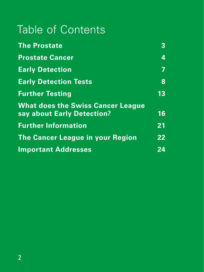## Table of Contents

| <b>The Prostate</b><br><b>Prostate Cancer</b>                          | 3<br>4 |
|------------------------------------------------------------------------|--------|
|                                                                        |        |
| <b>Early Detection Tests</b>                                           | 8      |
| <b>Further Testing</b>                                                 | 13     |
| <b>What does the Swiss Cancer League</b><br>say about Early Detection? | 16     |
| <b>Further Information</b>                                             | 21     |
| <b>The Cancer League in your Region</b>                                | 22     |
| <b>Important Addresses</b>                                             | 24     |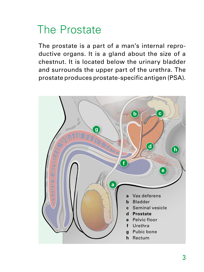## The Prostate

The prostate is a part of a man's internal reproductive organs. It is a gland about the size of a chestnut. It is located below the urinary bladder and surrounds the upper part of the urethra. The prostate produces prostate-specific antigen (PSA).

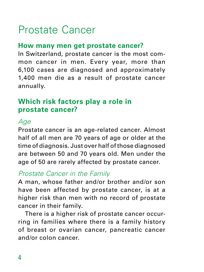## Prostate Cancer

#### **How many men get prostate cancer?**

In Switzerland, prostate cancer is the most common cancer in men. Every year, more than 6,100 cases are diagnosed and approximately 1,400 men die as a result of prostate cancer annually.

#### **Which risk factors play a role in prostate cancer?**

#### *Age*

Prostate cancer is an age-related cancer. Almost half of all men are 70 years of age or older at the time of diagnosis. Just over half of those diagnosed are between 50 and 70 years old. Men under the age of 50 are rarely affected by prostate cancer.

#### *Prostate Cancer in the Family*

A man, whose father and/or brother and/or son have been affected by prostate cancer, is at a higher risk than men with no record of prostate cancer in their family.

There is a higher risk of prostate cancer occurring in families where there is a family history of breast or ovarian cancer, pancreatic cancer and/or colon cancer.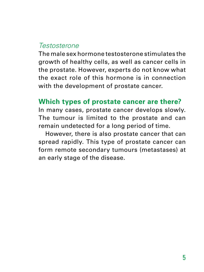#### *Testosterone*

The male sex hormone testosterone stimulates the growth of healthy cells, as well as cancer cells in the prostate. However, experts do not know what the exact role of this hormone is in connection with the development of prostate cancer.

#### **Which types of prostate cancer are there?**

In many cases, prostate cancer develops slowly. The tumour is limited to the prostate and can remain undetected for a long period of time.

However, there is also prostate cancer that can spread rapidly. This type of prostate cancer can form remote secondary tumours (metastases) at an early stage of the disease.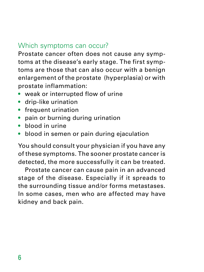#### Which symptoms can occur?

Prostate cancer often does not cause any symptoms at the disease's early stage. The first symptoms are those that can also occur with a benign enlargement of the prostate (hyperplasia) or with prostate inflammation:

- weak or interrupted flow of urine
- drip-like urination
- frequent urination
- pain or burning during urination
- blood in urine
- blood in semen or pain during ejaculation

You should consult your physician if you have any of these symptoms. The sooner prostate cancer is detected, the more successfully it can be treated.

Prostate cancer can cause pain in an advanced stage of the disease. Especially if it spreads to the surrounding tissue and/or forms metastases. In some cases, men who are affected may have kidney and back pain.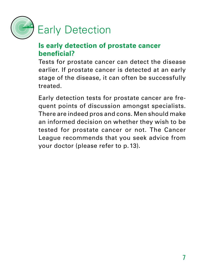

#### **Is early detection of prostate cancer beneficial?**

Tests for prostate cancer can detect the disease earlier. If prostate cancer is detected at an early stage of the disease, it can often be successfully treated.

Early detection tests for prostate cancer are frequent points of discussion amongst specialists. There are indeed pros and cons. Men should make an informed decision on whether they wish to be tested for prostate cancer or not. The Cancer League recommends that you seek advice from your doctor (please refer to p. 13).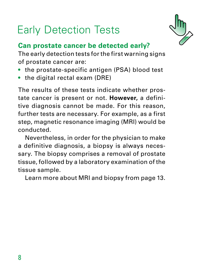## Early Detection Tests



## **Can prostate cancer be detected early?**

The early detection tests for the first warning signs of prostate cancer are:

- the prostate-specific antigen (PSA) blood test
- the digital rectal exam (DRE)

The results of these tests indicate whether prostate cancer is present or not. **However,** a definitive diagnosis cannot be made. For this reason, further tests are necessary. For example, as a first step, magnetic resonance imaging (MRI) would be conducted.

Nevertheless, in order for the physician to make a definitive diagnosis, a biopsy is always necessary. The biopsy comprises a removal of prostate tissue, followed by a laboratory examination of the tissue sample.

Learn more about MRI and biopsy from page 13.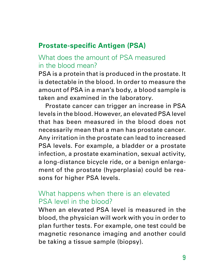#### **Prostate-specific Antigen (PSA)**

#### What does the amount of PSA measured in the blood mean?

PSA is a protein that is produced in the prostate. It is detectable in the blood. In order to measure the amount of PSA in a man's body, a blood sample is taken and examined in the laboratory.

Prostate cancer can trigger an increase in PSA levels in the blood. However, an elevated PSA level that has been measured in the blood does not necessarily mean that a man has prostate cancer. Any irritation in the prostate can lead to increased PSA levels. For example, a bladder or a prostate infection, a prostate examination, sexual activity, a long-distance bicycle ride, or a benign enlargement of the prostate (hyperplasia) could be reasons for higher PSA levels.

#### What happens when there is an elevated PSA level in the blood?

When an elevated PSA level is measured in the blood, the physician will work with you in order to plan further tests. For example, one test could be magnetic resonance imaging and another could be taking a tissue sample (biopsy).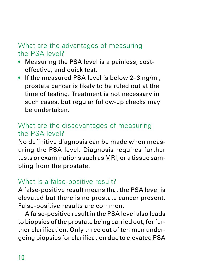#### What are the advantages of measuring the PSA level?

- Measuring the PSA level is a painless, costeffective, and quick test.
- If the measured PSA level is below 2-3 ng/ml. prostate cancer is likely to be ruled out at the time of testing. Treatment is not necessary in such cases, but regular follow-up checks may be undertaken.

#### What are the disadvantages of measuring the PSA level?

No definitive diagnosis can be made when measuring the PSA level. Diagnosis requires further tests or examinations such as MRI, or a tissue sampling from the prostate.

### What is a false-positive result?

A false-positive result means that the PSA level is elevated but there is no prostate cancer present. False-positive results are common.

A false-positive result in the PSA level also leads to biopsies of the prostate being carried out, for further clarification. Only three out of ten men undergoing biopsies for clarification due to elevated PSA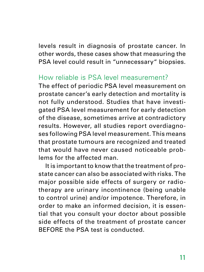levels result in diagnosis of prostate cancer. In other words, these cases show that measuring the PSA level could result in "unnecessary" biopsies.

#### How reliable is PSA level measurement?

The effect of periodic PSA level measurement on prostate cancer's early detection and mortality is not fully understood. Studies that have investigated PSA level measurement for early detection of the disease, sometimes arrive at contradictory results. However, all studies report overdiagnoses following PSA level measurement. This means that prostate tumours are recognized and treated that would have never caused noticeable problems for the affected man.

It is important to know that the treatment of prostate cancer can also be associated with risks. The major possible side effects of surgery or radiotherapy are urinary incontinence (being unable to control urine) and/or impotence. Therefore, in order to make an informed decision, it is essential that you consult your doctor about possible side effects of the treatment of prostate cancer BEFORE the PSA test is conducted.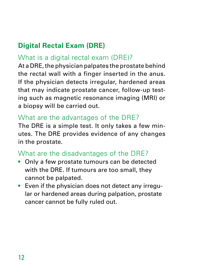## **Digital Rectal Exam (DRE)**

### What is a digital rectal exam (DRE)?

At a DRE, the physician palpates the prostate behind the rectal wall with a finger inserted in the anus. If the physician detects irregular, hardened areas that may indicate prostate cancer, follow-up testing such as magnetic resonance imaging (MRI) or a biopsy will be carried out.

### What are the advantages of the DRE?

The DRE is a simple test. It only takes a few minutes. The DRE provides evidence of any changes in the prostate.

## What are the disadvantages of the DRE?

- Only a few prostate tumours can be detected with the DRE. If tumours are too small, they cannot be palpated.
- Even if the physician does not detect any irregular or hardened areas during palpation, prostate cancer cannot be fully ruled out.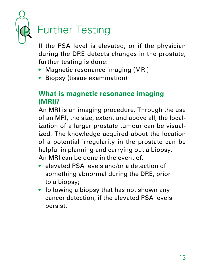

## Further Testing

If the PSA level is elevated, or if the physician during the DRE detects changes in the prostate, further testing is done:

- Magnetic resonance imaging (MRI)
- Biopsy (tissue examination)

### **What is magnetic resonance imaging (MRI)?**

An MRI is an imaging procedure. Through the use of an MRI, the size, extent and above all, the localization of a larger prostate tumour can be visualized. The knowledge acquired about the location of a potential irregularity in the prostate can be helpful in planning and carrying out a biopsy. An MRI can be done in the event of:

- elevated PSA levels and/or a detection of something abnormal during the DRE, prior to a biopsy;
- following a biopsy that has not shown any cancer detection, if the elevated PSA levels persist.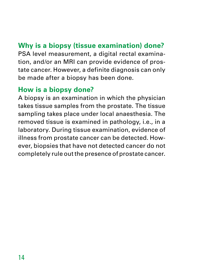## **Why is a biopsy (tissue examination) done?**

PSA level measurement, a digital rectal examination, and/or an MRI can provide evidence of prostate cancer. However, a definite diagnosis can only be made after a biopsy has been done.

### **How is a biopsy done?**

A biopsy is an examination in which the physician takes tissue samples from the prostate. The tissue sampling takes place under local anaesthesia. The removed tissue is examined in pathology, i.e., in a laboratory. During tissue examination, evidence of illness from prostate cancer can be detected. However, biopsies that have not detected cancer do not completely rule out the presence of prostate cancer.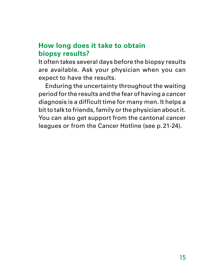#### **How long does it take to obtain biopsy results?**

It often takes several days before the biopsy results are available. Ask your physician when you can expect to have the results.

Enduring the uncertainty throughout the waiting period for the results and the fear of having a cancer diagnosis is a difficult time for many men. It helps a bit to talk to friends, family or the physician about it. You can also get support from the cantonal cancer leagues or from the Cancer Hotline (see p.21-24).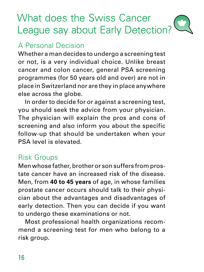## What does the Swiss Cancer League say about Early Detection?

## A Personal Decision

Whether a man decides to undergo a screening test or not, is a very individual choice. Unlike breast cancer and colon cancer, general PSA screening programmes (for 50 years old and over) are not in place in Switzerland nor are they in place anywhere else across the globe.

In order to decide for or against a screening test, you should seek the advice from your physician. The physician will explain the pros and cons of screening and also inform you about the specific follow-up that should be undertaken when your PSA level is elevated.

#### Risk Groups

Men whose father, brother or son suffers from prostate cancer have an increased risk of the disease. Men, from **40 to 45 years** of age, in whose families prostate cancer occurs should talk to their physician about the advantages and disadvantages of early detection. Then you can decide if you want to undergo these examinations or not.

Most professional health organizations recommend a screening test for men who belong to a risk group.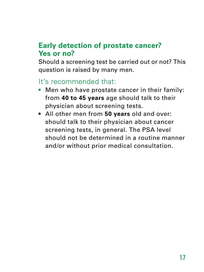### **Early detection of prostate cancer? Yes or no?**

Should a screening test be carried out or not? This question is raised by many men.

#### It's recommended that:

- Men who have prostate cancer in their family: from **40 to 45 years** age should talk to their physician about screening tests.
- All other men from **50 years** old and over: should talk to their physician about cancer screening tests, in general. The PSA level should not be determined in a routine manner and/or without prior medical consultation.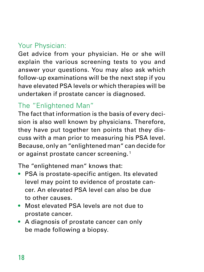## Your Physician:

Get advice from your physician. He or she will explain the various screening tests to you and answer your questions. You may also ask which follow-up examinations will be the next step if you have elevated PSA levels or which therapies will be undertaken if prostate cancer is diagnosed.

## The "Enlightened Man"

The fact that information is the basis of every decision is also well known by physicians. Therefore, they have put together ten points that they discuss with a man prior to measuring his PSA level. Because, only an "enlightened man" can decide for or against prostate cancer screening.<sup>1</sup>

The "enlightened man" knows that:

- PSA is prostate-specific antigen. Its elevated level may point to evidence of prostate cancer. An elevated PSA level can also be due to other causes.
- Most elevated PSA levels are not due to prostate cancer.
- A diagnosis of prostate cancer can only be made following a biopsy.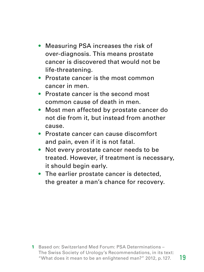- Measuring PSA increases the risk of over-diagnosis. This means prostate cancer is discovered that would not be life-threatening.
- Prostate cancer is the most common cancer in men.
- Prostate cancer is the second most common cause of death in men.
- Most men affected by prostate cancer do not die from it, but instead from another cause.
- Prostate cancer can cause discomfort and pain, even if it is not fatal.
- Not every prostate cancer needs to be treated. However, if treatment is necessary, it should begin early.
- The earlier prostate cancer is detected, the greater a man's chance for recovery.

**1** Based on: Switzerland Med Forum: PSA Determinations – The Swiss Society of Urology's Recommendations, in its text: "What does it mean to be an enlightened man?" 2012, p.127.

19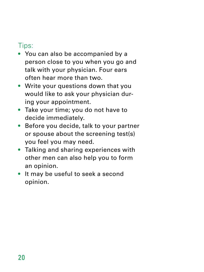### Tips:

- You can also be accompanied by a person close to you when you go and talk with your physician. Four ears often hear more than two.
- Write your questions down that you would like to ask your physician during your appointment.
- Take your time; you do not have to decide immediately.
- Before you decide, talk to your partner or spouse about the screening test(s) you feel you may need.
- Talking and sharing experiences with other men can also help you to form an opinion.
- It may be useful to seek a second opinion.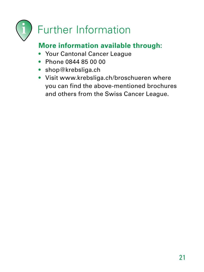

## **More information available through:**

- Your Cantonal Cancer League
- Phone 0844 85 00 00
- shop@krebsliga.ch
- Visit www.krebsliga.ch/broschueren where you can find the above-mentioned brochures and others from the Swiss Cancer League.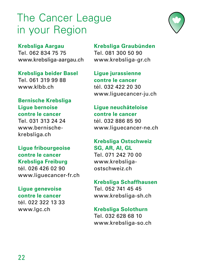## The Cancer League in your Region



**Krebsliga Aargau** Tel. 062 834 75 75

www.krebsliga-aargau.ch

**Krebsliga beider Basel** Tel. 061 319 99 88 www.klbb.ch

#### **Bernische Krebsliga Ligue bernoise contre le cancer**

Tel. 031 313 24 24 www.bernischekrebsliga.ch

#### **Ligue fribourgeoise contre le cancer Krebsliga Freiburg**

tél. 026 426 02 90 www.liguecancer-fr.ch

#### **Ligue genevoise contre le cancer**

tél. 022 322 13 33 www.lgc.ch

**Krebsliga Graubünden** Tel. 081 300 50 90 www.krebsliga-gr.ch

**Ligue jurassienne contre le cancer** tél. 032 422 20 30 www.liguecancer-ju.ch

#### **Ligue neuchâteloise contre le cancer** tél. 032 886 85 90

www.liguecancer-ne.ch

#### **Krebsliga Ostschweiz SG, AR, AI, GL** Tel. 071 242 70 00 www.krebsliga-

ostschweiz.ch

#### **Krebsliga Schaffhausen**

Tel. 052 741 45 45 www.krebsliga-sh.ch

#### **Krebsliga Solothurn**

Tel. 032 628 68 10 www.krebsliga-so.ch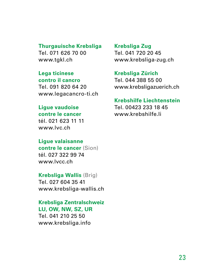#### **Thurgauische Krebsliga**

Tel. 071 626 70 00 www.tgkl.ch

#### **Lega ticinese**

**contro il cancro** Tel. 091 820 64 20 www.legacancro-ti.ch

#### **Ligue vaudoise**

**contre le cancer** tél. 021 623 11 11 www.lvc.ch

#### **Ligue valaisanne**

**contre le cancer** (Sion) tél. 027 322 99 74 www.lvcc.ch

#### **Krebsliga Wallis** (Brig)

Tel. 027 604 35 41 www.krebsliga-wallis.ch

#### **Krebsliga Zentralschweiz LU, OW, NW, SZ, UR**

Tel. 041 210 25 50 www.krebsliga.info

#### **Krebsliga Zug** Tel. 041 720 20 45

www.krebsliga-zug.ch

#### **Krebsliga Zürich**

Tel. 044 388 55 00 www.krebsligazuerich.ch

#### **Krebshilfe Liechtenstein**

Tel. 00423 233 18 45 www.krebshilfe.li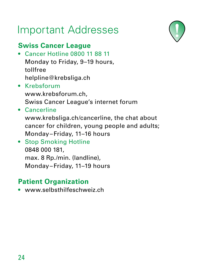## Important Addresses

## **Swiss Cancer League**

- Cancer Hotline 0800 11 88 11 Monday to Friday, 9–19 hours, tollfree helpline@krebsliga.ch
- Krebsforum www.krebsforum.ch, Swiss Cancer League's internet forum
- Cancerline

www.krebsliga.ch/cancerline, the chat about cancer for children, young people and adults; Monday–Friday, 11–16 hours

• Stop Smoking Hotline 0848 000 181, max. 8 Rp./min. (landline), Monday–Friday, 11–19 hours

## **Patient Organization**

• www.selbsthilfeschweiz.ch

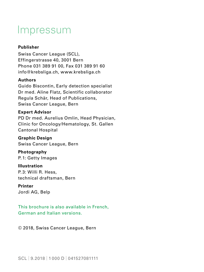## Impressum

#### **Publisher**

Swiss Cancer League (SCL), Effingerstrasse 40, 3001 Bern Phone 031 389 91 00, Fax 031 389 91 60 info@krebsliga.ch, www.krebsliga.ch

#### **Authors**

Guido Biscontin, Early detection specialist Dr med. Aline Flatz, Scientific collaborator Regula Schär, Head of Publications, Swiss Cancer League, Bern

#### **Expert Advisor**

PD Dr med. Aurelius Omlin, Head Physician, Clinic for Oncology/Hematology, St. Gallen Cantonal Hospital

**Graphic Design**  Swiss Cancer League, Bern

**Photography**  P. 1: Getty Images

**Illustration** P. 3: Willi R. Hess, technical draftsman, Bern

#### **Printer**

Jordi AG, Belp

This brochure is also available in French, German and Italian versions.

© 2018, Swiss Cancer League, Bern